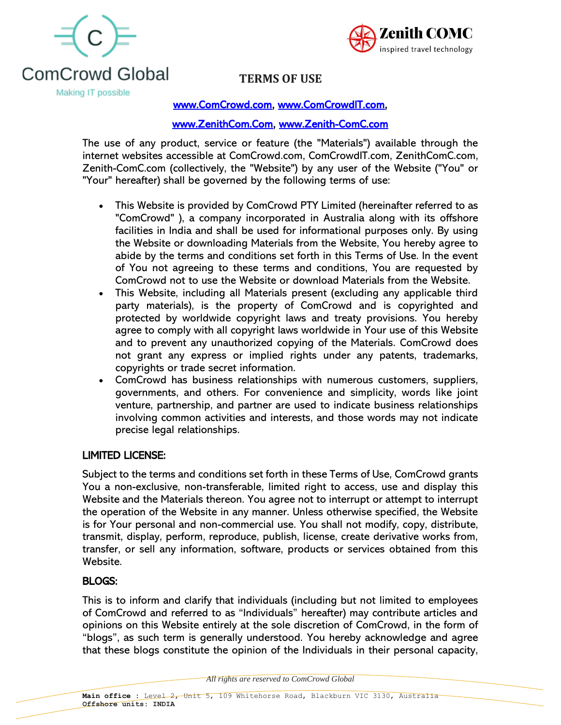



# **TERMS OF USE**

Making IT possible

### [www.ComCrowd.com,](http://www.comcrowd.com/) [www.ComCrowdIT.com,](http://www.comcrowdit.com/)

### [www.ZenithCom.Com,](http://www.zenithcom.com/) [www.Zenith-ComC.com](http://www.zenith-comc.com/)

The use of any product, service or feature (the "Materials") available through the internet websites accessible at ComCrowd.com, ComCrowdIT.com, ZenithComC.com, Zenith-ComC.com (collectively, the "Website") by any user of the Website ("You" or "Your" hereafter) shall be governed by the following terms of use:

- This Website is provided by ComCrowd PTY Limited (hereinafter referred to as "ComCrowd" ), a company incorporated in Australia along with its offshore facilities in India and shall be used for informational purposes only. By using the Website or downloading Materials from the Website, You hereby agree to abide by the terms and conditions set forth in this Terms of Use. In the event of You not agreeing to these terms and conditions, You are requested by ComCrowd not to use the Website or download Materials from the Website.
- This Website, including all Materials present (excluding any applicable third party materials), is the property of ComCrowd and is copyrighted and protected by worldwide copyright laws and treaty provisions. You hereby agree to comply with all copyright laws worldwide in Your use of this Website and to prevent any unauthorized copying of the Materials. ComCrowd does not grant any express or implied rights under any patents, trademarks, copyrights or trade secret information.
- ComCrowd has business relationships with numerous customers, suppliers, governments, and others. For convenience and simplicity, words like joint venture, partnership, and partner are used to indicate business relationships involving common activities and interests, and those words may not indicate precise legal relationships.

### LIMITED LICENSE:

Subject to the terms and conditions set forth in these Terms of Use, ComCrowd grants You a non-exclusive, non-transferable, limited right to access, use and display this Website and the Materials thereon. You agree not to interrupt or attempt to interrupt the operation of the Website in any manner. Unless otherwise specified, the Website is for Your personal and non-commercial use. You shall not modify, copy, distribute, transmit, display, perform, reproduce, publish, license, create derivative works from, transfer, or sell any information, software, products or services obtained from this Website.

### BLOGS:

This is to inform and clarify that individuals (including but not limited to employees of ComCrowd and referred to as "Individuals" hereafter) may contribute articles and opinions on this Website entirely at the sole discretion of ComCrowd, in the form of "blogs", as such term is generally understood. You hereby acknowledge and agree that these blogs constitute the opinion of the Individuals in their personal capacity,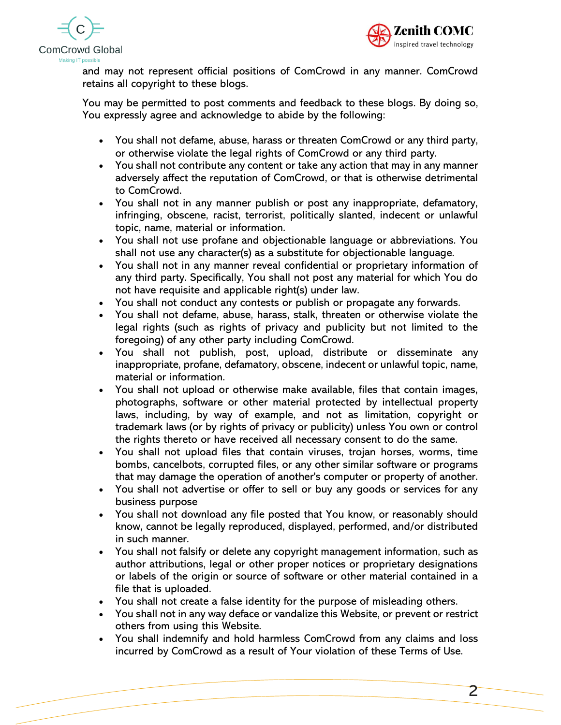



and may not represent official positions of ComCrowd in any manner. ComCrowd retains all copyright to these blogs.

You may be permitted to post comments and feedback to these blogs. By doing so, You expressly agree and acknowledge to abide by the following:

- You shall not defame, abuse, harass or threaten ComCrowd or any third party, or otherwise violate the legal rights of ComCrowd or any third party.
- You shall not contribute any content or take any action that may in any manner adversely affect the reputation of ComCrowd, or that is otherwise detrimental to ComCrowd.
- You shall not in any manner publish or post any inappropriate, defamatory, infringing, obscene, racist, terrorist, politically slanted, indecent or unlawful topic, name, material or information.
- You shall not use profane and objectionable language or abbreviations. You shall not use any character(s) as a substitute for objectionable language.
- You shall not in any manner reveal confidential or proprietary information of any third party. Specifically, You shall not post any material for which You do not have requisite and applicable right(s) under law.
- You shall not conduct any contests or publish or propagate any forwards.
- You shall not defame, abuse, harass, stalk, threaten or otherwise violate the legal rights (such as rights of privacy and publicity but not limited to the foregoing) of any other party including ComCrowd.
- You shall not publish, post, upload, distribute or disseminate any inappropriate, profane, defamatory, obscene, indecent or unlawful topic, name, material or information.
- You shall not upload or otherwise make available, files that contain images, photographs, software or other material protected by intellectual property laws, including, by way of example, and not as limitation, copyright or trademark laws (or by rights of privacy or publicity) unless You own or control the rights thereto or have received all necessary consent to do the same.
- You shall not upload files that contain viruses, trojan horses, worms, time bombs, cancelbots, corrupted files, or any other similar software or programs that may damage the operation of another's computer or property of another.
- You shall not advertise or offer to sell or buy any goods or services for any business purpose
- You shall not download any file posted that You know, or reasonably should know, cannot be legally reproduced, displayed, performed, and/or distributed in such manner.
- You shall not falsify or delete any copyright management information, such as author attributions, legal or other proper notices or proprietary designations or labels of the origin or source of software or other material contained in a file that is uploaded.
- You shall not create a false identity for the purpose of misleading others.
- You shall not in any way deface or vandalize this Website, or prevent or restrict others from using this Website.
- You shall indemnify and hold harmless ComCrowd from any claims and loss incurred by ComCrowd as a result of Your violation of these Terms of Use.

2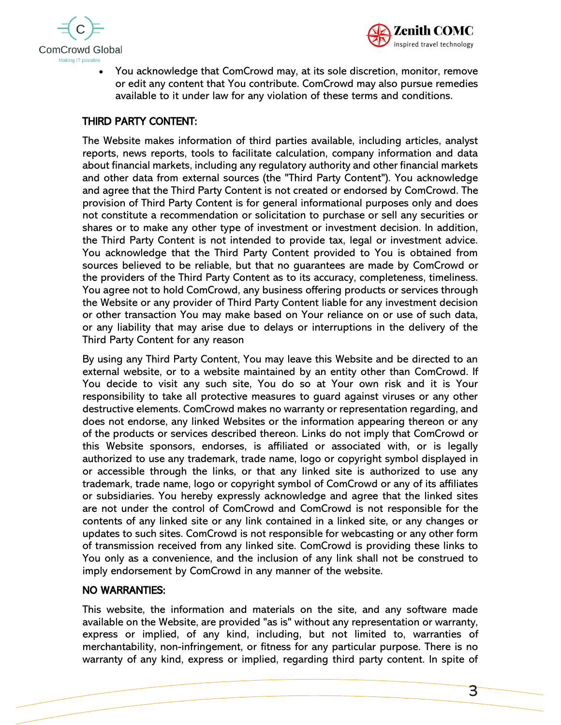



• You acknowledge that ComCrowd may, at its sole discretion, monitor, remove or edit any content that You contribute. ComCrowd may also pursue remedies available to it under law for any violation of these terms and conditions.

# THIRD PARTY CONTENT:

The Website makes information of third parties available, including articles, analyst reports, news reports, tools to facilitate calculation, company information and data about financial markets, including any regulatory authority and other financial markets and other data from external sources (the "Third Party Content"). You acknowledge and agree that the Third Party Content is not created or endorsed by ComCrowd. The provision of Third Party Content is for general informational purposes only and does not constitute a recommendation or solicitation to purchase or sell any securities or shares or to make any other type of investment or investment decision. In addition, the Third Party Content is not intended to provide tax, legal or investment advice. You acknowledge that the Third Party Content provided to You is obtained from sources believed to be reliable, but that no guarantees are made by ComCrowd or the providers of the Third Party Content as to its accuracy, completeness, timeliness. You agree not to hold ComCrowd, any business offering products or services through the Website or any provider of Third Party Content liable for any investment decision or other transaction You may make based on Your reliance on or use of such data, or any liability that may arise due to delays or interruptions in the delivery of the Third Party Content for any reason

By using any Third Party Content, You may leave this Website and be directed to an external website, or to a website maintained by an entity other than ComCrowd. If You decide to visit any such site, You do so at Your own risk and it is Your responsibility to take all protective measures to guard against viruses or any other destructive elements. ComCrowd makes no warranty or representation regarding, and does not endorse, any linked Websites or the information appearing thereon or any of the products or services described thereon. Links do not imply that ComCrowd or this Website sponsors, endorses, is affiliated or associated with, or is legally authorized to use any trademark, trade name, logo or copyright symbol displayed in or accessible through the links, or that any linked site is authorized to use any trademark, trade name, logo or copyright symbol of ComCrowd or any of its affiliates or subsidiaries. You hereby expressly acknowledge and agree that the linked sites are not under the control of ComCrowd and ComCrowd is not responsible for the contents of any linked site or any link contained in a linked site, or any changes or updates to such sites. ComCrowd is not responsible for webcasting or any other form of transmission received from any linked site. ComCrowd is providing these links to You only as a convenience, and the inclusion of any link shall not be construed to imply endorsement by ComCrowd in any manner of the website.

### NO WARRANTIES:

This website, the information and materials on the site, and any software made available on the Website, are provided "as is" without any representation or warranty, express or implied, of any kind, including, but not limited to, warranties of merchantability, non-infringement, or fitness for any particular purpose. There is no warranty of any kind, express or implied, regarding third party content. In spite of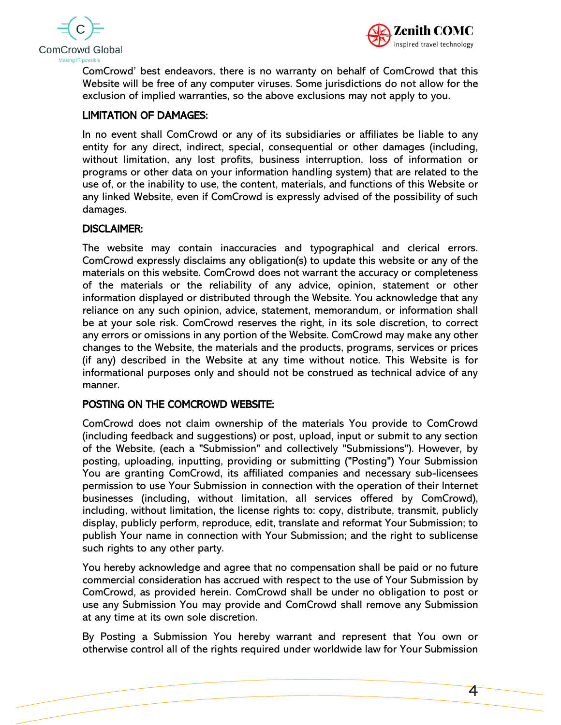



ComCrowd' best endeavors, there is no warranty on behalf of ComCrowd that this Website will be free of any computer viruses. Some jurisdictions do not allow for the exclusion of implied warranties, so the above exclusions may not apply to you.

# LIMITATION OF DAMAGES:

In no event shall ComCrowd or any of its subsidiaries or affiliates be liable to any entity for any direct, indirect, special, consequential or other damages (including, without limitation, any lost profits, business interruption, loss of information or programs or other data on your information handling system) that are related to the use of, or the inability to use, the content, materials, and functions of this Website or any linked Website, even if ComCrowd is expressly advised of the possibility of such damages.

### DISCLAIMER:

The website may contain inaccuracies and typographical and clerical errors. ComCrowd expressly disclaims any obligation(s) to update this website or any of the materials on this website. ComCrowd does not warrant the accuracy or completeness of the materials or the reliability of any advice, opinion, statement or other information displayed or distributed through the Website. You acknowledge that any reliance on any such opinion, advice, statement, memorandum, or information shall be at your sole risk. ComCrowd reserves the right, in its sole discretion, to correct any errors or omissions in any portion of the Website. ComCrowd may make any other changes to the Website, the materials and the products, programs, services or prices (if any) described in the Website at any time without notice. This Website is for informational purposes only and should not be construed as technical advice of any manner.

# POSTING ON THE COMCROWD WEBSITE:

ComCrowd does not claim ownership of the materials You provide to ComCrowd (including feedback and suggestions) or post, upload, input or submit to any section of the Website, (each a "Submission" and collectively "Submissions"). However, by posting, uploading, inputting, providing or submitting ("Posting") Your Submission You are granting ComCrowd, its affiliated companies and necessary sub-licensees permission to use Your Submission in connection with the operation of their Internet businesses (including, without limitation, all services offered by ComCrowd), including, without limitation, the license rights to: copy, distribute, transmit, publicly display, publicly perform, reproduce, edit, translate and reformat Your Submission; to publish Your name in connection with Your Submission; and the right to sublicense such rights to any other party.

You hereby acknowledge and agree that no compensation shall be paid or no future commercial consideration has accrued with respect to the use of Your Submission by ComCrowd, as provided herein. ComCrowd shall be under no obligation to post or use any Submission You may provide and ComCrowd shall remove any Submission at any time at its own sole discretion.

By Posting a Submission You hereby warrant and represent that You own or otherwise control all of the rights required under worldwide law for Your Submission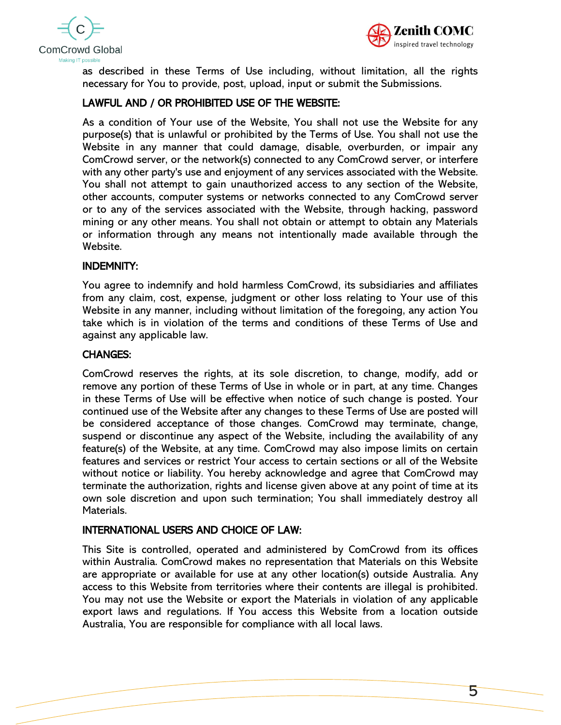



as described in these Terms of Use including, without limitation, all the rights necessary for You to provide, post, upload, input or submit the Submissions.

## LAWFUL AND / OR PROHIBITED USE OF THE WEBSITE:

As a condition of Your use of the Website, You shall not use the Website for any purpose(s) that is unlawful or prohibited by the Terms of Use. You shall not use the Website in any manner that could damage, disable, overburden, or impair any ComCrowd server, or the network(s) connected to any ComCrowd server, or interfere with any other party's use and enjoyment of any services associated with the Website. You shall not attempt to gain unauthorized access to any section of the Website, other accounts, computer systems or networks connected to any ComCrowd server or to any of the services associated with the Website, through hacking, password mining or any other means. You shall not obtain or attempt to obtain any Materials or information through any means not intentionally made available through the Website.

### INDEMNITY:

You agree to indemnify and hold harmless ComCrowd, its subsidiaries and affiliates from any claim, cost, expense, judgment or other loss relating to Your use of this Website in any manner, including without limitation of the foregoing, any action You take which is in violation of the terms and conditions of these Terms of Use and against any applicable law.

### CHANGES:

ComCrowd reserves the rights, at its sole discretion, to change, modify, add or remove any portion of these Terms of Use in whole or in part, at any time. Changes in these Terms of Use will be effective when notice of such change is posted. Your continued use of the Website after any changes to these Terms of Use are posted will be considered acceptance of those changes. ComCrowd may terminate, change, suspend or discontinue any aspect of the Website, including the availability of any feature(s) of the Website, at any time. ComCrowd may also impose limits on certain features and services or restrict Your access to certain sections or all of the Website without notice or liability. You hereby acknowledge and agree that ComCrowd may terminate the authorization, rights and license given above at any point of time at its own sole discretion and upon such termination; You shall immediately destroy all Materials.

### INTERNATIONAL USERS AND CHOICE OF LAW:

This Site is controlled, operated and administered by ComCrowd from its offices within Australia. ComCrowd makes no representation that Materials on this Website are appropriate or available for use at any other location(s) outside Australia. Any access to this Website from territories where their contents are illegal is prohibited. You may not use the Website or export the Materials in violation of any applicable export laws and regulations. If You access this Website from a location outside Australia, You are responsible for compliance with all local laws.